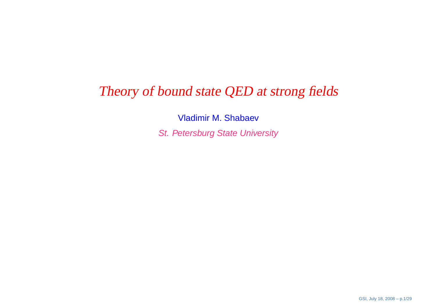# Theory of bound state QED at strong fields

Vladimir M. ShabaevSt. Petersburg State University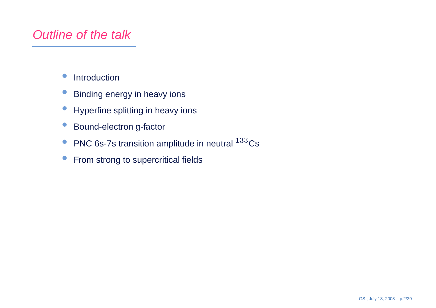# Outline of the talk

- $\bullet$ Introduction
- $\bullet$ Binding energy in heavy ions
- $\bullet$ Hyperfine splitting in heavy ions
- $\bullet$ Bound-electron g-factor
- $\bullet$ PNC 6s-7s transition amplitude in neutral  $^{133}$ Cs
- $\bullet$ From strong to supercritical fields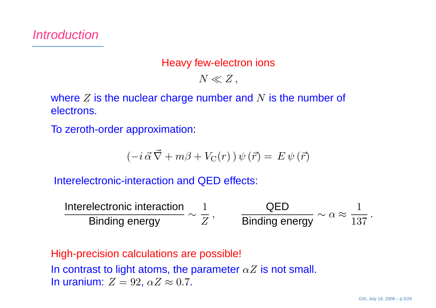## Heavy few-electron ions

 $N \ll Z$ ,

where  $Z$  is the nuclear charge number and  $N$  is the number of<br>electrons electrons.

To zeroth-order approximation:

$$
\left(-i\,\vec{\alpha}\,\vec{\nabla} + m\beta + V_{\rm C}(r)\,\right)\psi\left(\vec{r}\right) = E\,\psi\left(\vec{r}\right)
$$

Interelectronic-interaction and QED effects:

Interelectronic interaction Binding energy∼1 $Z$ <sup>,</sup> QEDBinding energy  $~^\sim$   $^\alpha$   $\approx$ 1137.

High-precision calculations are possible! In contrast to light atoms, the parameter  $\alpha Z$  is not small. In uranium:  $Z=92,\,\alpha Z\approx 0.7.$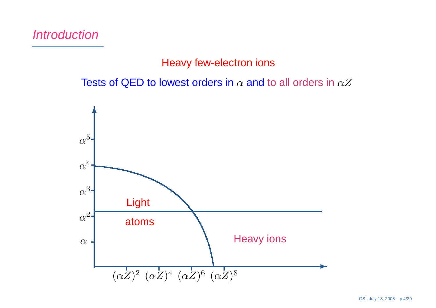## **Introduction**

## Heavy few-electron ions

Tests of QED to lowest orders in  $\alpha$  and to all orders in  $\alpha Z$ 

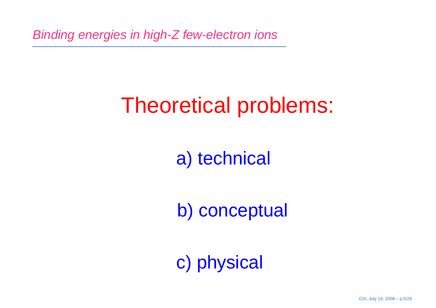# Theoretical problems:

a) technical

b) conceptual

c) physical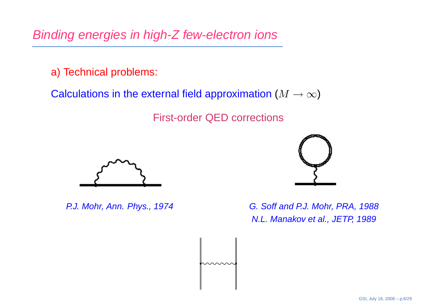a) Technical problems:

Calculations in the external field approximation  $(M \rightarrow \infty)$ 

First-order QED corrections





P.J. Mohr, Ann. Phys., 1974 G. Soff and P.J. Mohr, PRA, 1988 N.L. Manakov et al., JETP, 1989

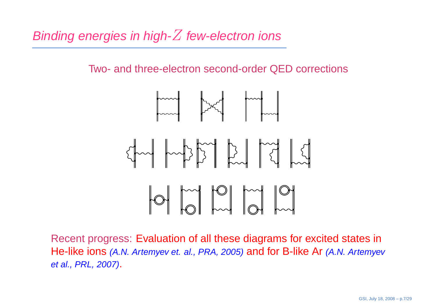Two- and three-electron second-order QED corrections



Recent progress: Evaluation of all these diagrams for excited states inHe-like ions *(A.N. Artemyev et. al., PRA, 2005)* and for B-like Ar *(A.N. Artemyev* et al., PRL, 2007).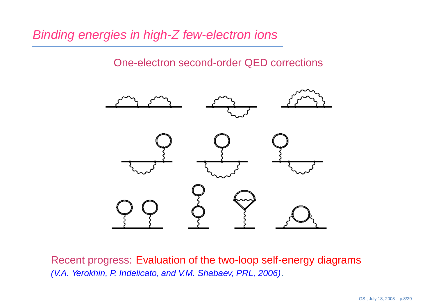One-electron second-order QED corrections



Recent progress: Evaluation of the two-loop self-energy diagrams(V.A. Yerokhin, P. Indelicato, and V.M. Shabaev, PRL, 2006).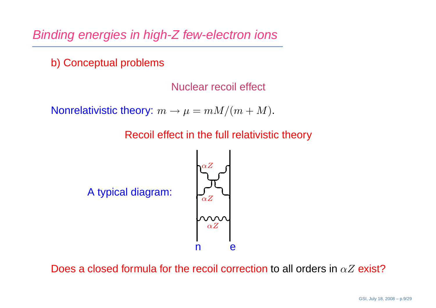b) Conceptual problems

Nuclear recoil effect

Nonrelativistic theory:  $m \rightarrow \mu = mM/(m+M)$ .

Recoil effect in the full relativistic theory



Does a closed formula for the recoil correction to all orders in  $\alpha Z$  exist?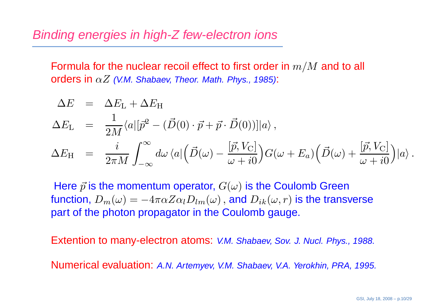Formula for the nuclear recoil effect to first order in  $m/M$  and to all<br>orders in a Z (VM, Shabaay Theor Math, Phys. 1985);  $\bm{{\mathsf{orders}}}$  in  $\alpha Z$  (V.M. Shabaev, Theor. Math. Phys., 1985):

$$
\Delta E = \Delta E_{\rm L} + \Delta E_{\rm H}
$$
\n
$$
\Delta E_{\rm L} = \frac{1}{2M} \langle a | [\vec{p}^2 - (\vec{D}(0) \cdot \vec{p} + \vec{p} \cdot \vec{D}(0))] | a \rangle,
$$
\n
$$
\Delta E_{\rm H} = \frac{i}{2\pi M} \int_{-\infty}^{\infty} d\omega \langle a | (\vec{D}(\omega) - \frac{[\vec{p}, V_{\rm C}]}{\omega + i0}) G(\omega + E_a) (\vec{D}(\omega) + \frac{[\vec{p}, V_{\rm C}]}{\omega + i0}) | a \rangle.
$$

Here  $\vec{p}$  is the momentum operator,  $G(\omega)$  is the Coulomb Green function,  $D_m(\omega) = -4\pi\alpha Z \alpha_l D_{lm}(\omega)$  , and  $D_{ik}(\omega,r)$  is the trans part of the photon propagator in the Coulomb gauge.  $-4\pi\alpha Z\alpha_lD_{lm}(\omega)\,,$  and  $D_{ik}(\omega, r)$  is the transverse

Extention to many-electron atoms: V.M. Shabaev, Sov. J. Nucl. Phys., 1988.

Numerical evaluation: A.N. Artemyev, V.M. Shabaev, V.A. Yerokhin, PRA, 1995.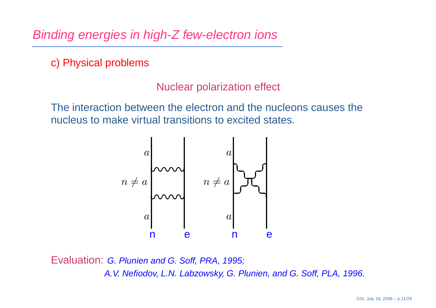c) Physical problems

Nuclear polarization effect

The interaction between the electron and the nucleons causes thenucleus to make virtual transitions to excited states.



Evaluation: G. Plunien and G. Soff, PRA, 1995; A.V. Nefiodov, L.N. Labzowsky, G. Plunien, and G. Soff, PLA, 1996.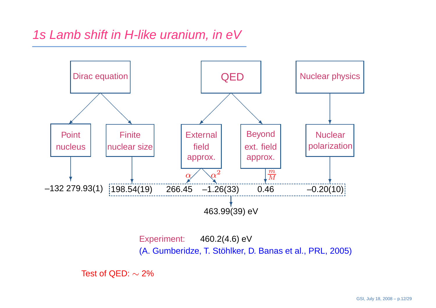## 1s Lamb shift in H-like uranium, in eV



Experiment: 460.2(4.6) eV(A. Gumberidze, T. Stöhlker, D. Banas et al., PRL, 2005)

Test of QED:  $\sim$  2%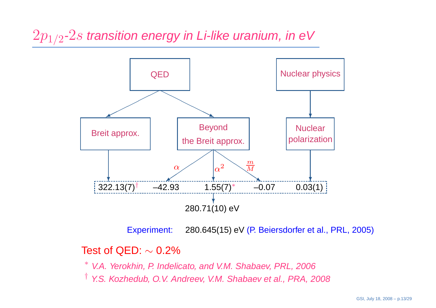$2p_{1/2}\text{-}2s$  transition energy in Li-like uranium, in eV



Experiment:280.645(15) eV (P. Beiersdorfer et al., PRL, 2005)

# Test of QED: <sup>∼</sup> 0.2%

∗ V.A. Yerokhin, P. Indelicato, and V.M. Shabaev, PRL, 2006

† Y.S. Kozhedub, O.V. Andreev, V.M. Shabaev et al., PRA, 2008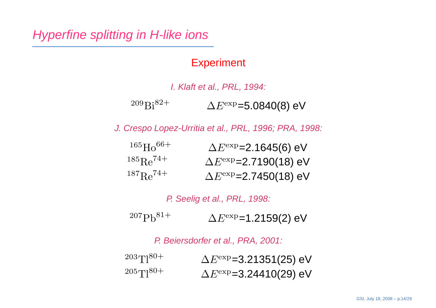## Hyperfine splitting in H-like ions

## **Experiment**

#### I. Klaft et al., PRL, 1994:  $^{209}Bi^{82+}$  $\Delta E^{\rm exp}$ =5.0840(8) eV

J. Crespo Lopez-Urritia et al., PRL, 1996; PRA, 1998:

| $165H066+$                 | $\Delta E^{\rm exp}$ =2.1645(6) eV  |
|----------------------------|-------------------------------------|
| $^{185}$ Re <sup>74+</sup> | $\Delta E^{\rm exp}$ =2.7190(18) eV |
| $^{187}$ Re <sup>74+</sup> | $\Delta E^{\rm exp}$ =2.7450(18) eV |

P. Seelig et al., PRL, 1998:

 $^{207}Ph^{81+}$  $\Delta E^{\rm exp}$ =1.2159(2) eV

P. Beiersdorfer et al., PRA, 2001:

 $^{203}$ Tl<sup>80+</sup>  $\Delta E^{\rm exp}$ =3.21351(25) eV  $\Delta E^{\rm exp}$ =3.24410(29) eV  $205T180+$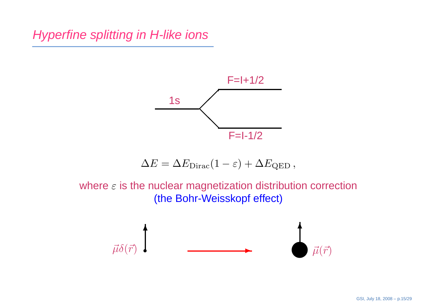Hyperfine splitting in H-like ions



$$
\Delta E = \Delta E_{\text{Dirac}} (1 - \varepsilon) + \Delta E_{\text{QED}} ,
$$

where  $\varepsilon$  is the nuclear magnetization distribution correction (the Bohr-Weisskopf effect)

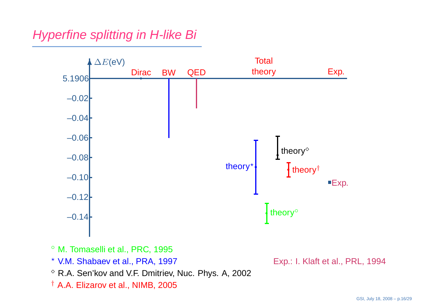Hyperfine splitting in H-like Bi



- $^{\circ}$  M. Tomaselli et al., PRC, 1995
- ? V.M. Shabaev et al., PRA, 1997
- $^\diamond$  R.A. Sen'kov and V.F. Dmitriev, Nuc. Phys. A, 2002
- $^\dagger$  A.A. Elizarov et al., NIMB, 2005

Exp.: I. Klaft et al., PRL, <sup>1994</sup>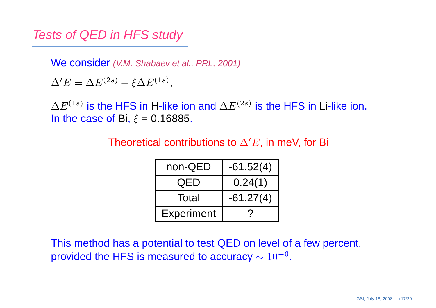Tests of QED in HFS study

We consider (V.M. Shabaev et al., PRL, 2001)

 $\Delta' E = \Delta E^{(2s)} - \xi \Delta E^{(1s)},$ 

 $\Delta E^{(1s)}$  is the HFS in H-like ion and  $\Delta E^{(2s)}$  is the HFS in Li-like ion. In the case of Bi,  $\xi = 0.16885$ .

Theoretical contributions to  $\Delta'E,$  in meV, for Bi

| non-QED           | $-61.52(4)$ |  |
|-------------------|-------------|--|
| QED               | 0.24(1)     |  |
| Total             | $-61.27(4)$ |  |
| <b>Experiment</b> |             |  |

This method has <sup>a</sup> potential to test QED on level of <sup>a</sup> few percent, provided the HFS is measured to accuracy  $\sim 10^{-6}$ .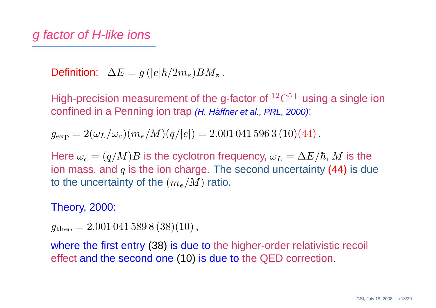Definition:  $\Delta E = g\,(|e|\hbar/2m_e)BM_z$  .

High-precision measurement of the g-factor of  ${}^{12}C^{5+}$  using a single ion confined in a Penning ion trap *(H. Häffner et al., PRL, 2000)*:

 $g_{\rm exp} = 2(\omega_L/\omega_c)(m_e/M)(q/|e|) = 2.001\,041\,596\,3\,(10)(44)$  .

Here  $\omega_c = (q/M)B$  is the cyclotron frequency,  $\omega_L = \Delta E/\hbar, \, M$  is the<br>ion mass, and  $a$  is the ion charge. The second uncertainty (44) is du ion mass, and  $q$  is the ion charge. The second uncertainty (44) is due to the uncertainty of the  $(m_e/M)$  ratio.

## Theory, 2000:

 $g_{\rm{theo}} = 2.001\,041\,589\,8\,(38)(10)\,,$ 

where the first entry (38) is due to the higher-order relativistic recoil effect and the second one (10) is due to the QED correction.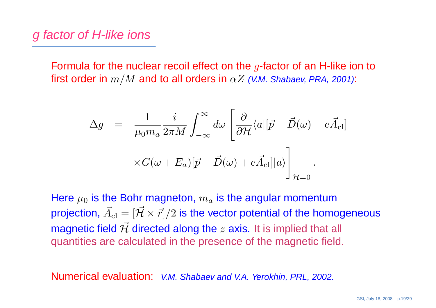Formula for the nuclear recoil effect on the  $g$ -factor of an H-like ion to first order in  $m/M$  and to all orders in  $\alpha Z$  (V.M. Shabaev, PRA, 2001):

$$
\Delta g = \frac{1}{\mu_0 m_a} \frac{i}{2\pi M} \int_{-\infty}^{\infty} d\omega \left[ \frac{\partial}{\partial \mathcal{H}} \langle a | [\vec{p} - \vec{D}(\omega) + e\vec{A}_{\text{cl}}] \right] \times G(\omega + E_a) [\vec{p} - \vec{D}(\omega) + e\vec{A}_{\text{cl}}]|a\rangle \bigg]_{\mathcal{H}=0}.
$$

Here  $\mu_0$  is the Bohr magneton,  $m_a$  is the angular momentum projection,  $\vec{A}_{\rm cl}=[\vec{\mathcal{H}}\times\vec{r}]/2$  is the vector potential of the hor magnetic field  $\vec{\mathcal{H}}$  directed along the  $z$  axis. It is implied that all  $\operatorname{cl}$  $\vec{H}=[\vec{\mathcal{H}}\times\vec{r}]/2$  is the vector potential of the homogeneous quantities are calculated in the presence of the magnetic field.

Numerical evaluation: V.M. Shabaev and V.A. Yerokhin, PRL, 2002.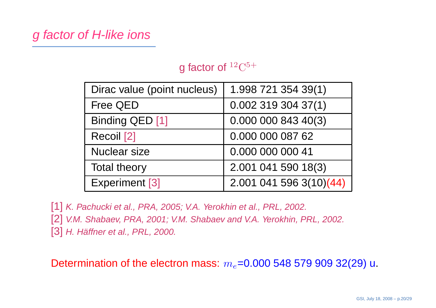# g factor of H-like ions

## g factor of  $12^{\circ}C^{5+}$

| Dirac value (point nucleus) | 1.998 721 354 39(1)       |  |  |
|-----------------------------|---------------------------|--|--|
| <b>Free QED</b>             | $0.002$ 319 304 37(1)     |  |  |
| Binding QED [1]             | 0.00000084340(3)          |  |  |
| Recoil [2]                  | 0.000 000 087 62          |  |  |
| <b>Nuclear size</b>         | 0.000 000 000 41          |  |  |
| <b>Total theory</b>         | 2.001 041 590 18(3)       |  |  |
| <b>Experiment [3]</b>       | $2.001$ 041 596 3(10)(44) |  |  |

[1] K. Pachucki et al., PRA, 2005; V.A. Yerokhin et al., PRL, 2002. [2] V.M. Shabaev, PRA, 2001; V.M. Shabaev and V.A. Yerokhin, PRL, 2002.  $\bm{\left[ 3\right] }$  H. Häffner et al., PRL, 2000.

Determination of the electron mass:  $m_e$ =0.000 548 579 909 32(29) u.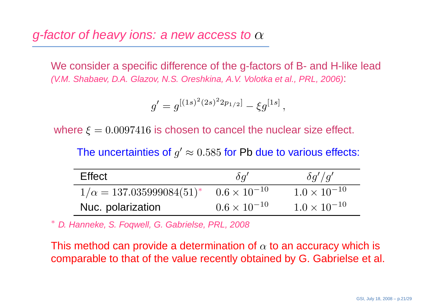g-factor of heavy ions: a new access to  $\alpha$ 

We consider <sup>a</sup> specific difference of the g-factors of B- and H-like lead(V.M. Shabaev, D.A. Glazov, N.S. Oreshkina, A.V. Volotka et al., PRL, 2006):

$$
g' = g^{[(1s)^2(2s)^2 2p_{1/2}]} - \xi g^{[1s]},
$$

where  $\xi=0.0097416$  is chosen to cancel the nuclear size effect.

The uncertainties of  $g'\approx 0.585$  for Pb due to various effects:

| <b>Effect</b>                      | $\delta q'$           | $\delta q'/q'$        |
|------------------------------------|-----------------------|-----------------------|
| $1/\alpha = 137.035999084(51)^{*}$ | $0.6 \times 10^{-10}$ | $1.0 \times 10^{-10}$ |
| Nuc. polarization                  | $0.6 \times 10^{-10}$ | $1.0 \times 10^{-10}$ |

∗ D. Hanneke, S. Foqwell, G. Gabrielse, PRL, 2008

This method can provide a determination of  $\alpha$  to an accuracy which is comparable to that of the value recently obtained by G. Gabrielse et al.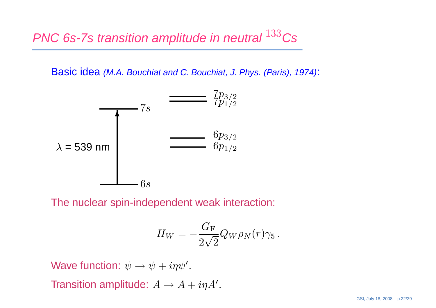Basic idea (M.A. Bouchiat and C. Bouchiat, J. Phys. (Paris), 1974):



The nuclear spin-independent weak interaction:

$$
H_W=-\frac{G_{\rm F}}{2\sqrt{2}}Q_W\rho_N(r)\gamma_5\,.
$$

Wave function:  $\psi \rightarrow \psi + i\eta \psi'$ . Transition amplitude:  $A \rightarrow A + i \eta A'$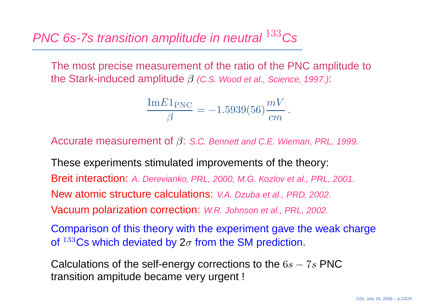The most precise measurement of the ratio of the PNC amplitude tothe Stark-induced amplitude  $\beta$  (C.S. Wood et al., Science, 1997.):

$$
\frac{\text{Im} E1_{\text{PNC}}}{\beta} = -1.5939(56) \frac{mV}{cm}.
$$

Accurate measurement of  $\beta$ : S.C. Bennett and C.E. Wieman, PRL, 1999.

These experiments stimulated improvements of the theory: Breit interaction: A. Derevianko, PRL, 2000, M.G. Kozlov et al., PRL, 2001. New atomic structure calculations: V.A. Dzuba et al., PRD, 2002. Vacuum polarization correction: W.R. Johnson et al., PRL, 2002.

Comparison of this theory with the experiment gave the weak chargeof  $^{133}\mathrm{Cs}$  which deviated by 2 $\sigma$  from the SM prediction.

Calculations of the self-energy corrections to the  $6s-7s$  PNC transition ampitude became very urgent !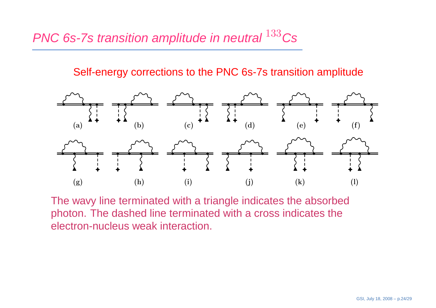Self-energy corrections to the PNC 6s-7s transition amplitude



The wavy line terminated with <sup>a</sup> triangle indicates the absorbed photon. The dashed line terminated with <sup>a</sup> cross indicates theelectron-nucleus weak interaction.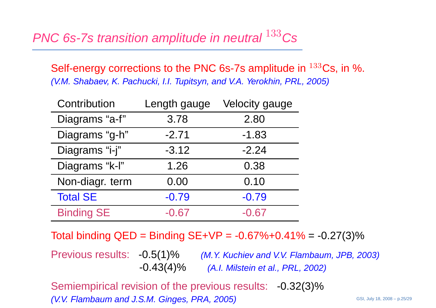Self-energy corrections to the PNC 6s-7s amplitude in  $^{133}\mathrm{Cs}$ , in %. (V.M. Shabaev, K. Pachucki, I.I. Tupitsyn, and V.A. Yerokhin, PRL, 2005)

| Contribution      | Length gauge | <b>Velocity gauge</b> |
|-------------------|--------------|-----------------------|
| Diagrams "a-f"    | 3.78         | 2.80                  |
| Diagrams "g-h"    | $-2.71$      | $-1.83$               |
| Diagrams "i-j"    | $-3.12$      | $-2.24$               |
| Diagrams "k-l"    | 1.26         | 0.38                  |
| Non-diagr. term   | 0.00         | 0.10                  |
| <b>Total SE</b>   | $-0.79$      | $-0.79$               |
| <b>Binding SE</b> | $-0.67$      | $-0.67$               |

Total binding QED <sup>=</sup> Binding SE+VP <sup>=</sup> -0.67%+0.41% <sup>=</sup> -0.27(3)%

Previous results: -0.5(1)% (M.Y. Kuchiev and V.V. Flambaum, JPB, 2003) -0.43(4)% (A.I. Milstein et al., PRL, 2002)

Semiempirical revision of the previous results: -0.32(3)% (V.V. Flambaum and J.S.M. Ginges, PRA, 2005)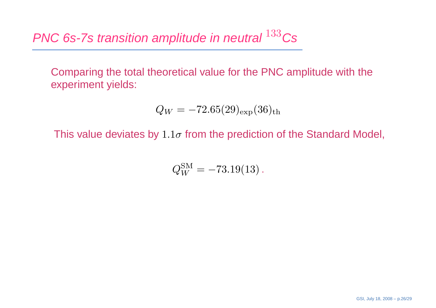Comparing the total theoretical value for the PNC amplitude with the experiment yields:

$$
Q_W = -72.65(29)_{\rm exp}(36)_{\rm th}
$$

This value deviates by  $1.1\sigma$  from the prediction of the Standard Model,

 $Q_W^{\rm SM}=-73.19(13)$  .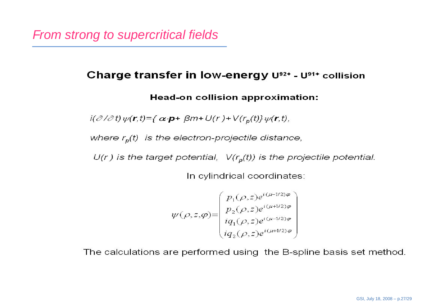### Charge transfer in low-energy U92+ - U91+ collision

#### **Head-on collision approximation:**

 $i(\partial/\partial t)\psi(\mathbf{r},t)=\{\alpha\cdot\mathbf{p}+\beta m+U(r)+V(r_{p}(t)\}\psi(\mathbf{r},t),\$ 

where  $r_p(t)$  is the electron-projectile distance,

 $U(r)$  is the target potential,  $V(r_p(t))$  is the projectile potential.

In cylindrical coordinates:

$$
\psi(\rho, z, \varphi) = \begin{pmatrix} p_1(\rho, z) e^{i(\mu - 1/2)\varphi} \\ p_2(\rho, z) e^{i(\mu + 1/2)\varphi} \\ iq_1(\rho, z) e^{i(\mu - 1/2)\varphi} \\ iq_2(\rho, z) e^{i(\mu + 1/2)\varphi} \end{pmatrix}
$$

The calculations are performed using the B-spline basis set method.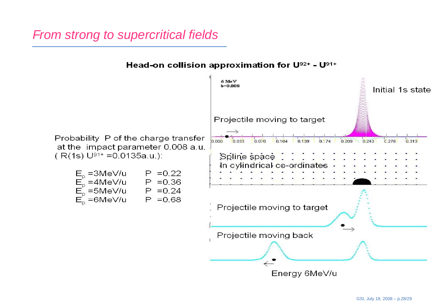# From strong to supercritical fields

Head-on collision approximation for U92+ - U91+